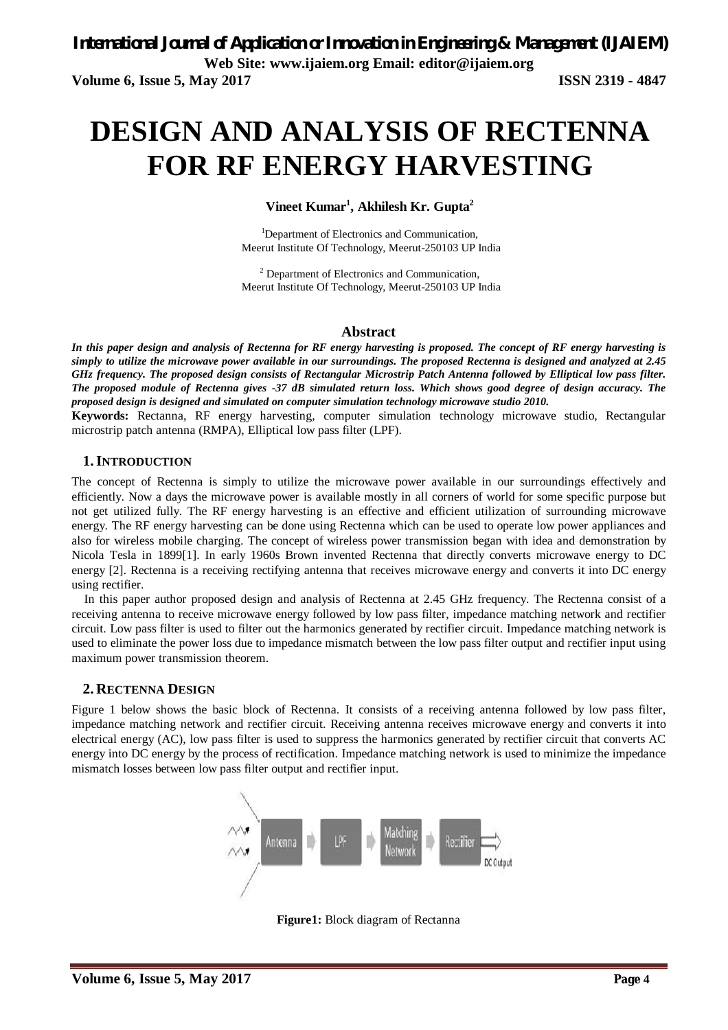# **DESIGN AND ANALYSIS OF RECTENNA FOR RF ENERGY HARVESTING**

**Vineet Kumar<sup>1</sup> , Akhilesh Kr. Gupta<sup>2</sup>**

<sup>1</sup>Department of Electronics and Communication, Meerut Institute Of Technology, Meerut-250103 UP India

<sup>2</sup> Department of Electronics and Communication, Meerut Institute Of Technology, Meerut-250103 UP India

#### **Abstract**

*In this paper design and analysis of Rectenna for RF energy harvesting is proposed. The concept of RF energy harvesting is simply to utilize the microwave power available in our surroundings. The proposed Rectenna is designed and analyzed at 2.45 GHz frequency. The proposed design consists of Rectangular Microstrip Patch Antenna followed by Elliptical low pass filter. The proposed module of Rectenna gives -37 dB simulated return loss. Which shows good degree of design accuracy. The proposed design is designed and simulated on computer simulation technology microwave studio 2010.*

**Keywords:** Rectanna, RF energy harvesting, computer simulation technology microwave studio, Rectangular microstrip patch antenna (RMPA), Elliptical low pass filter (LPF).

#### **1.INTRODUCTION**

The concept of Rectenna is simply to utilize the microwave power available in our surroundings effectively and efficiently. Now a days the microwave power is available mostly in all corners of world for some specific purpose but not get utilized fully. The RF energy harvesting is an effective and efficient utilization of surrounding microwave energy. The RF energy harvesting can be done using Rectenna which can be used to operate low power appliances and also for wireless mobile charging. The concept of wireless power transmission began with idea and demonstration by Nicola Tesla in 1899[1]. In early 1960s Brown invented Rectenna that directly converts microwave energy to DC energy [2]. Rectenna is a receiving rectifying antenna that receives microwave energy and converts it into DC energy using rectifier.

In this paper author proposed design and analysis of Rectenna at 2.45 GHz frequency. The Rectenna consist of a receiving antenna to receive microwave energy followed by low pass filter, impedance matching network and rectifier circuit. Low pass filter is used to filter out the harmonics generated by rectifier circuit. Impedance matching network is used to eliminate the power loss due to impedance mismatch between the low pass filter output and rectifier input using maximum power transmission theorem.

#### **2. RECTENNA DESIGN**

Figure 1 below shows the basic block of Rectenna. It consists of a receiving antenna followed by low pass filter, impedance matching network and rectifier circuit. Receiving antenna receives microwave energy and converts it into electrical energy (AC), low pass filter is used to suppress the harmonics generated by rectifier circuit that converts AC energy into DC energy by the process of rectification. Impedance matching network is used to minimize the impedance mismatch losses between low pass filter output and rectifier input.



**Figure1:** Block diagram of Rectanna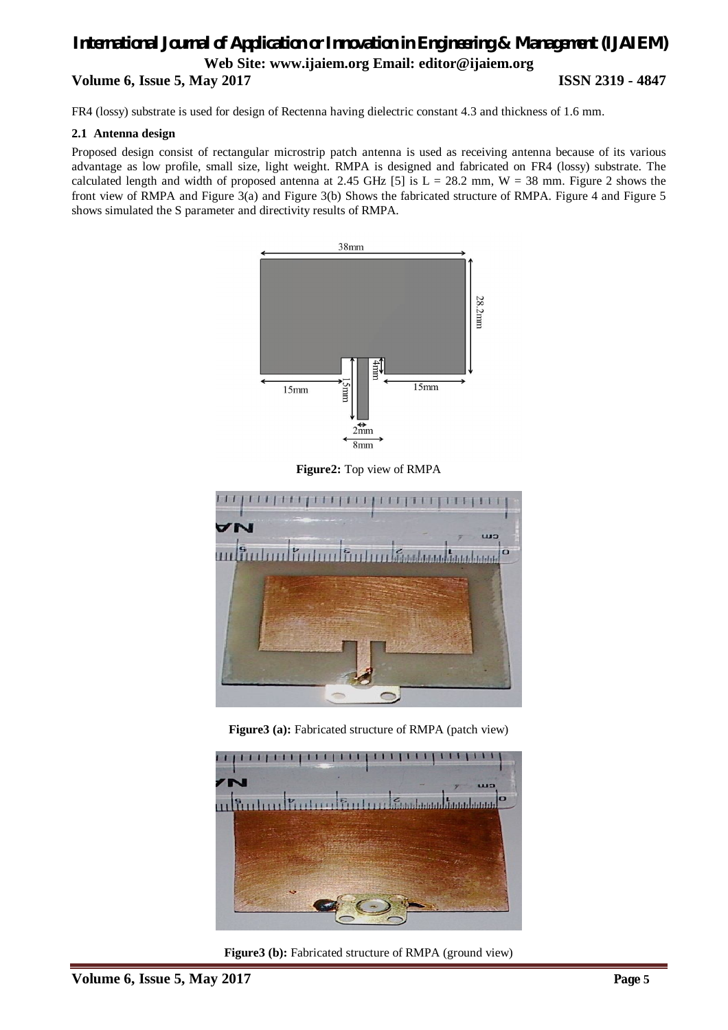FR4 (lossy) substrate is used for design of Rectenna having dielectric constant 4.3 and thickness of 1.6 mm.

#### **2.1 Antenna design**

Proposed design consist of rectangular microstrip patch antenna is used as receiving antenna because of its various advantage as low profile, small size, light weight. RMPA is designed and fabricated on FR4 (lossy) substrate. The calculated length and width of proposed antenna at 2.45 GHz [5] is  $L = 28.2$  mm,  $W = 38$  mm. Figure 2 shows the front view of RMPA and Figure 3(a) and Figure 3(b) Shows the fabricated structure of RMPA. Figure 4 and Figure 5 shows simulated the S parameter and directivity results of RMPA.



**Figure2:** Top view of RMPA



**Figure3 (a):** Fabricated structure of RMPA (patch view)



**Figure3 (b):** Fabricated structure of RMPA (ground view)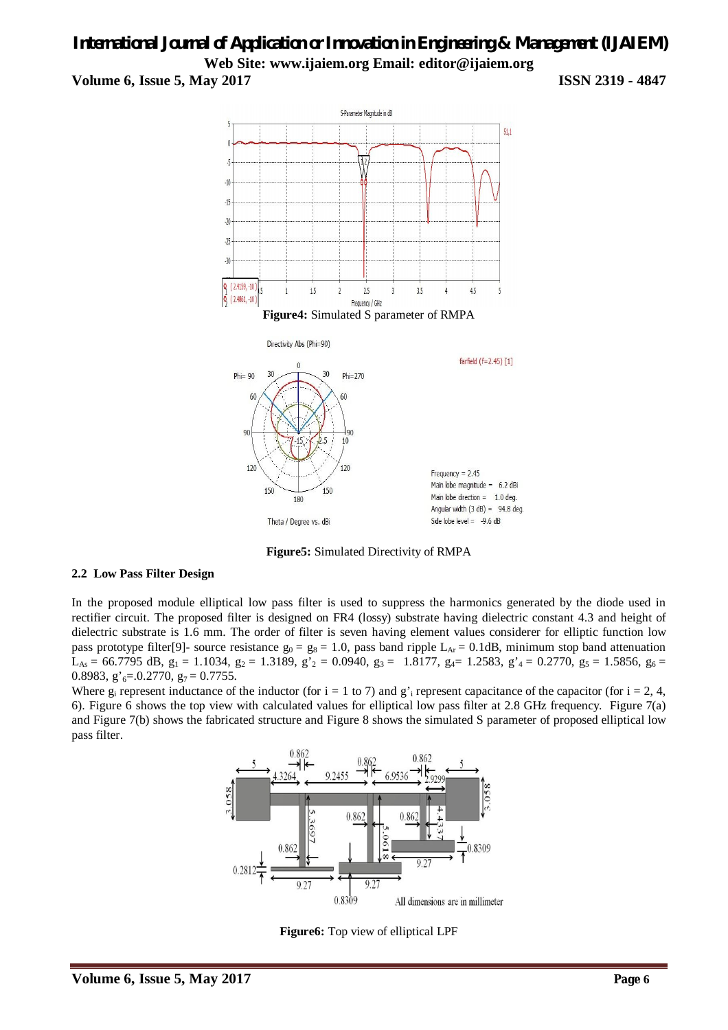

**Figure5:** Simulated Directivity of RMPA

#### **2.2 Low Pass Filter Design**

In the proposed module elliptical low pass filter is used to suppress the harmonics generated by the diode used in rectifier circuit. The proposed filter is designed on FR4 (lossy) substrate having dielectric constant 4.3 and height of dielectric substrate is 1.6 mm. The order of filter is seven having element values considerer for elliptic function low pass prototype filter[9]- source resistance  $g_0 = g_8 = 1.0$ , pass band ripple L<sub>Ar</sub> = 0.1dB, minimum stop band attenuation  $L_{As} = 66.7795 \text{ dB}, g_1 = 1.1034, g_2 = 1.3189, g'_{2} = 0.0940, g_3 = 1.8177, g_4 = 1.2583, g'_{4} = 0.2770, g_5 = 1.5856, g_6 = 0.2583$ 0.8983,  $g'_{6}$ =.0.2770,  $g_{7}$  = 0.7755.

Where  $g_i$  represent inductance of the inductor (for i = 1 to 7) and  $g_i$  represent capacitance of the capacitor (for i = 2, 4, 6). Figure 6 shows the top view with calculated values for elliptical low pass filter at 2.8 GHz frequency. Figure 7(a) and Figure 7(b) shows the fabricated structure and Figure 8 shows the simulated S parameter of proposed elliptical low pass filter.



**Figure6:** Top view of elliptical LPF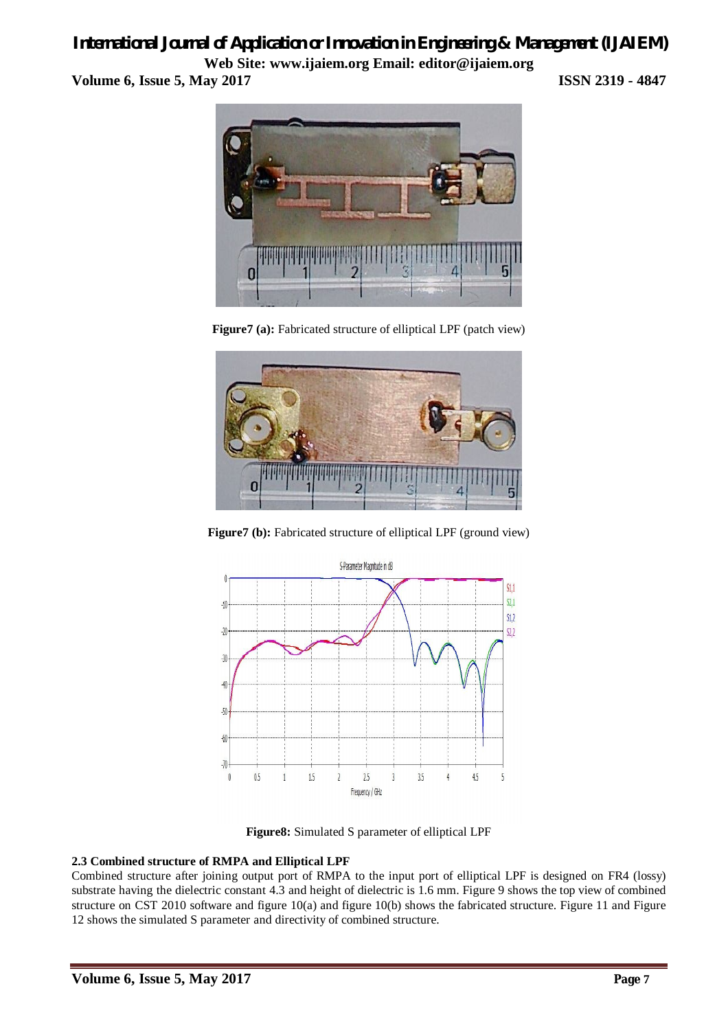# *International Journal of Application or Innovation in Engineering & Management (IJAIEM)*

**Web Site: www.ijaiem.org Email: editor@ijaiem.org Volume 6, Issue 5, May 2017 ISSN 2319 - 4847**



**Figure7 (a):** Fabricated structure of elliptical LPF (patch view)



**Figure7 (b):** Fabricated structure of elliptical LPF (ground view)



**Figure8:** Simulated S parameter of elliptical LPF

#### **2.3 Combined structure of RMPA and Elliptical LPF**

Combined structure after joining output port of RMPA to the input port of elliptical LPF is designed on FR4 (lossy) substrate having the dielectric constant 4.3 and height of dielectric is 1.6 mm. Figure 9 shows the top view of combined structure on CST 2010 software and figure  $10(a)$  and figure  $10(b)$  shows the fabricated structure. Figure 11 and Figure 12 shows the simulated S parameter and directivity of combined structure.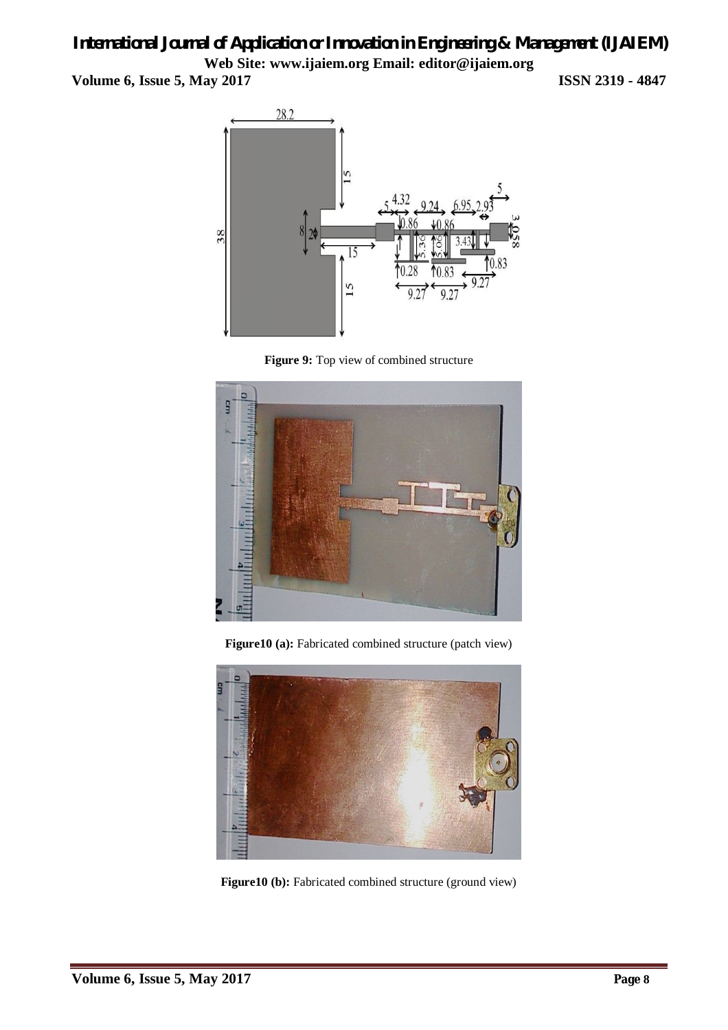





**Figure10 (a):** Fabricated combined structure (patch view)



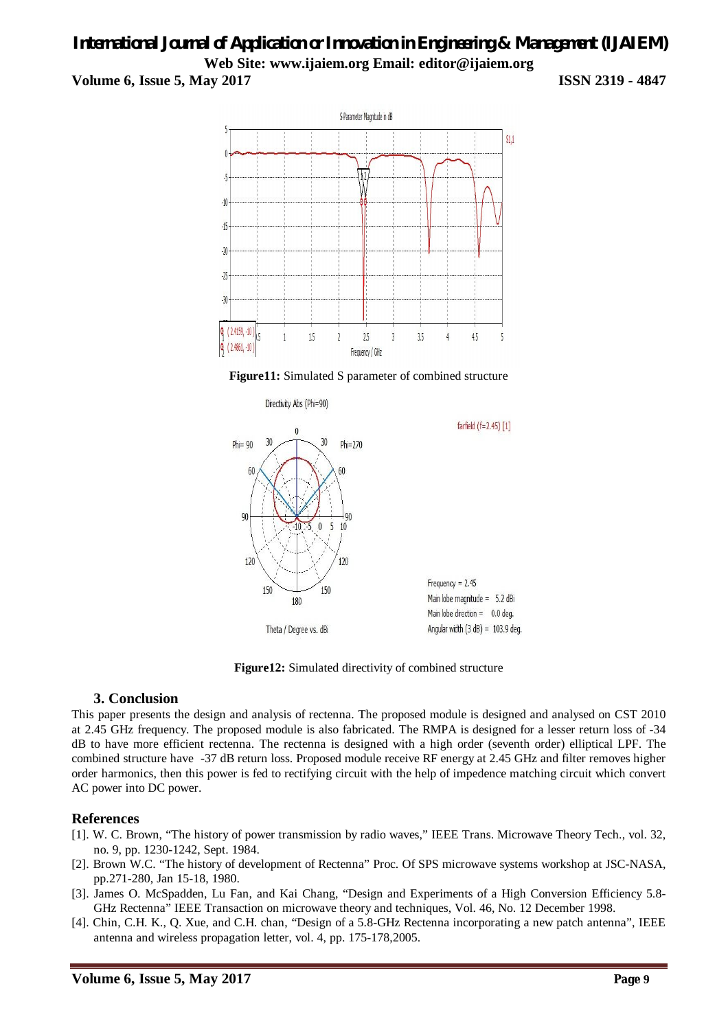





**Figure12:** Simulated directivity of combined structure

#### **3. Conclusion**

This paper presents the design and analysis of rectenna. The proposed module is designed and analysed on CST 2010 at 2.45 GHz frequency. The proposed module is also fabricated. The RMPA is designed for a lesser return loss of -34 dB to have more efficient rectenna. The rectenna is designed with a high order (seventh order) elliptical LPF. The combined structure have -37 dB return loss. Proposed module receive RF energy at 2.45 GHz and filter removes higher order harmonics, then this power is fed to rectifying circuit with the help of impedence matching circuit which convert AC power into DC power.

#### **References**

- [1]. W. C. Brown, "The history of power transmission by radio waves," IEEE Trans. Microwave Theory Tech., vol. 32, no. 9, pp. 1230-1242, Sept. 1984.
- [2]. Brown W.C. "The history of development of Rectenna" Proc. Of SPS microwave systems workshop at JSC-NASA, pp.271-280, Jan 15-18, 1980.
- [3]. James O. McSpadden, Lu Fan, and Kai Chang, "Design and Experiments of a High Conversion Efficiency 5.8- GHz Rectenna" IEEE Transaction on microwave theory and techniques, Vol. 46, No. 12 December 1998.
- [4]. Chin, C.H. K., Q. Xue, and C.H. chan, "Design of a 5.8-GHz Rectenna incorporating a new patch antenna", IEEE antenna and wireless propagation letter, vol. 4, pp. 175-178,2005.